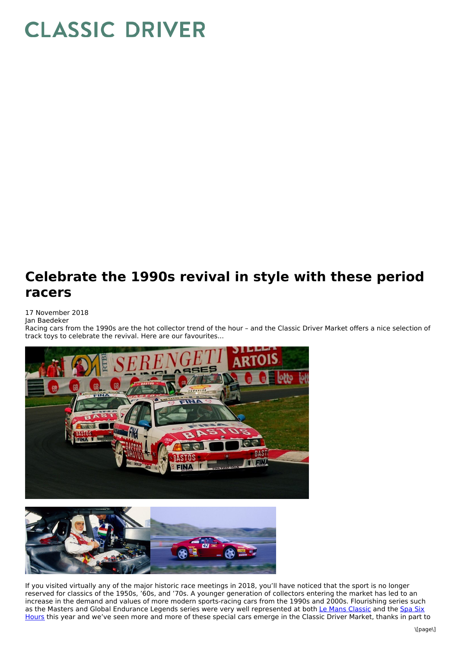## **CLASSIC DRIVER**

## **Celebrate the 1990s revival in style with these period racers**

17 November 2018 Jan Baedeker

Racing cars from the 1990s are the hot collector trend of the hour – and the Classic Driver Market offers a nice selection of track toys to celebrate the revival. Here are our favourites...





If you visited virtually any of the major historic race meetings in 2018, you'll have noticed that the sport is no longer reserved for classics of the 1950s, '60s, and '70s. A younger generation of collectors entering the market has led to an increase in the demand and values of more modern sports-racing cars from the 1990s and 2000s. Flourishing series such as the Masters and Global Endurance Legends series were very well [represented](https://www.classicdriver.com/en/article/advertorial/why-spa-six-hours-beats-any-other-classic-car-race) at both Le Mans [Classic](https://www.classicdriver.com/en/article/cars/a-searing-celebration-speed-le-mans-classic-2018) and the Spa Six Hours this year and we've seen more and more of these special cars emerge in the Classic Driver Market, thanks in part to